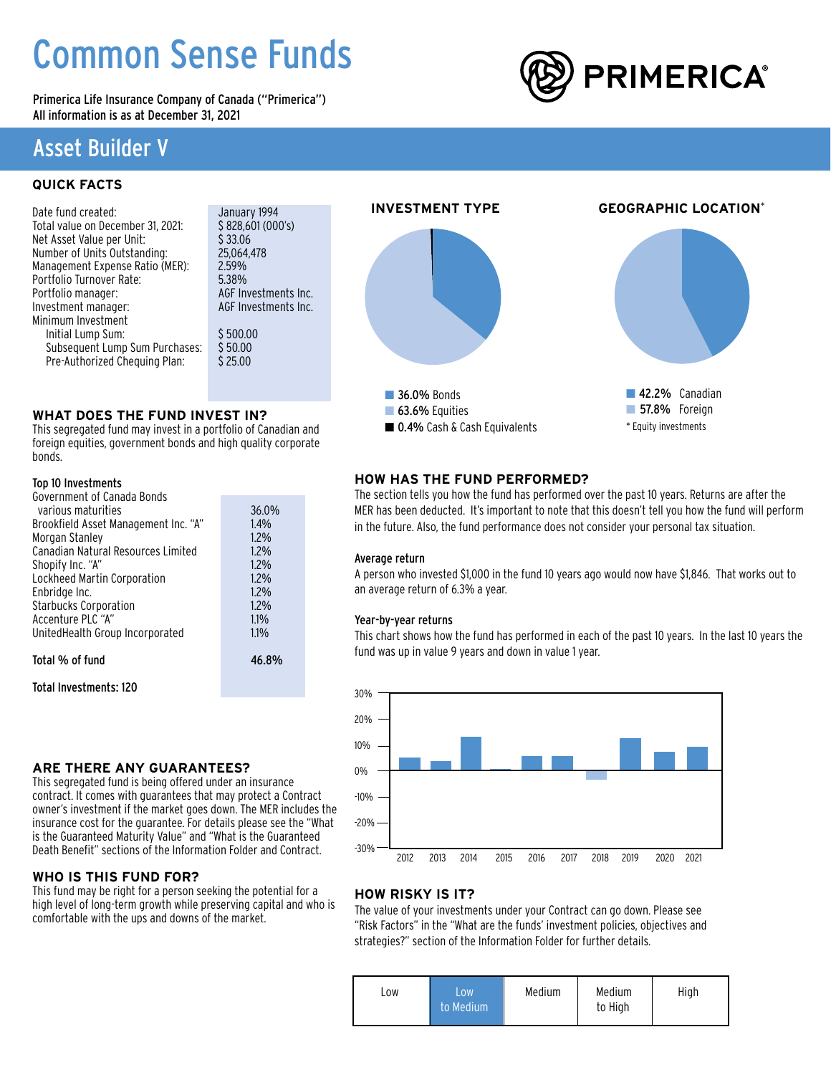# Common Sense Funds

Primerica Life Insurance Company of Canada ("Primerica") All information is as at December 31, 2021



# Asset Builder V

# **QUICK FACTS**

| Date fund created:                | January 1994         |
|-----------------------------------|----------------------|
| Total value on December 31, 2021: | \$828,601 (000's)    |
| Net Asset Value per Unit:         | \$33.06              |
| Number of Units Outstanding:      | 25.064.478           |
| Management Expense Ratio (MER):   | 2.59%                |
| Portfolio Turnover Rate:          | 5.38%                |
| Portfolio manager:                | AGF Investments Inc. |
| Investment manager:               | AGF Investments Inc. |
| Minimum Investment                |                      |
| Initial Lump Sum:                 | \$500.00             |
| Subsequent Lump Sum Purchases:    | \$50.00              |
| Pre-Authorized Chequing Plan:     | \$25.00              |
|                                   |                      |

### **WHAT DOES THE FUND INVEST IN?**

This segregated fund may invest in a portfolio of Canadian and foreign equities, government bonds and high quality corporate bonds.

### Top 10 Investments

| Government of Canada Bonds           |       |
|--------------------------------------|-------|
| various maturities                   | 36.0% |
| Brookfield Asset Management Inc. "A" | 1.4%  |
| Morgan Stanley                       | 1.2%  |
| Canadian Natural Resources Limited   | 1.2%  |
| Shopify Inc. "A"                     | 1.2%  |
| Lockheed Martin Corporation          | 1.2%  |
| Enbridge Inc.                        | 1.2%  |
| <b>Starbucks Corporation</b>         | 1.2%  |
| Accenture PLC "A"                    | 1.1%  |
| UnitedHealth Group Incorporated      | 1.1%  |
| Total % of fund                      | 46.8% |
|                                      |       |

Total Investments: 120

### **ARE THERE ANY GUARANTEES?**

This segregated fund is being offered under an insurance contract. It comes with guarantees that may protect a Contract owner's investment if the market goes down. The MER includes the insurance cost for the guarantee. For details please see the "What is the Guaranteed Maturity Value" and "What is the Guaranteed Death Benefit" sections of the Information Folder and Contract.

### **WHO IS THIS FUND FOR?**

This fund may be right for a person seeking the potential for a high level of long-term growth while preserving capital and who is comfortable with the ups and downs of the market.



## **HOW HAS THE FUND PERFORMED?**

The section tells you how the fund has performed over the past 10 years. Returns are after the MER has been deducted. It's important to note that this doesn't tell you how the fund will perform in the future. Also, the fund performance does not consider your personal tax situation.

### Average return

A person who invested \$1,000 in the fund 10 years ago would now have \$1,846. That works out to an average return of 6.3% a year.

### Year-by-year returns

This chart shows how the fund has performed in each of the past 10 years. In the last 10 years the fund was up in value 9 years and down in value 1 year.



### **HOW RISKY IS IT?**

The value of your investments under your Contract can go down. Please see "Risk Factors" in the "What are the funds' investment policies, objectives and strategies?" section of the Information Folder for further details.

| LOW.<br>LOW<br>to Medium | Medium | Medium<br>to High | High |
|--------------------------|--------|-------------------|------|
|--------------------------|--------|-------------------|------|